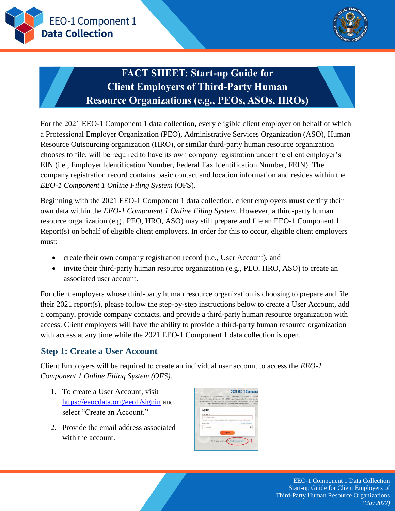



# **FACT SHEET: Start-up Guide for Client Employers of Third-Party Human Resource Organizations (e.g., PEOs, ASOs, HROs)**

For the 2021 EEO-1 Component 1 data collection, every eligible client employer on behalf of which a Professional Employer Organization (PEO), Administrative Services Organization (ASO), Human Resource Outsourcing organization (HRO), or similar third-party human resource organization chooses to file, will be required to have its own company registration under the client employer's EIN (i.e., Employer Identification Number, Federal Tax Identification Number, FEIN). The company registration record contains basic contact and location information and resides within the *EEO-1 Component 1 Online Filing System* (OFS).

Beginning with the 2021 EEO-1 Component 1 data collection, client employers **must** certify their own data within the *EEO-1 Component 1 Online Filing System*. However, a third-party human resource organization (e.g., PEO, HRO, ASO) may still prepare and file an EEO-1 Component 1 Report(s) on behalf of eligible client employers. In order for this to occur, eligible client employers must:

- create their own company registration record (i.e., User Account), and
- invite their third-party human resource organization (e.g., PEO, HRO, ASO) to create an associated user account.

For client employers whose third-party human resource organization is choosing to prepare and file their 2021 report(s), please follow the step-by-step instructions below to create a User Account, add a company, provide company contacts, and provide a third-party human resource organization with access. Client employers will have the ability to provide a third-party human resource organization with access at any time while the 2021 EEO-1 Component 1 data collection is open.

# **Step 1: Create a User Account**

Client Employers will be required to create an individual user account to access the *EEO-1 Component 1 Online Filing System (OFS).*

- 1. To create a User Account, visit <https://eeocdata.org/eeo1/signin> and select "Create an Account."
- 2. Provide the email address associated with the account.

|               | 2021 EEO-1 Componer<br>The Employer Information Report EEO-1 Component 1, or the EEO-1 Compon                                                              |
|---------------|------------------------------------------------------------------------------------------------------------------------------------------------------------|
|               | filers with accounts from the 2019/2020 reporting period will have to update<br>account to access the EEO-1 Component 1 Online Filing System. The deadline |
|               | 17, 2022. Organizations must file their information through the EEO-1 Compt                                                                                |
| Sign in       |                                                                                                                                                            |
| Username      |                                                                                                                                                            |
| Email Address |                                                                                                                                                            |
|               | This should be usur email as established in restatement. For your Company (D)                                                                              |
| Password      | Forgot Password                                                                                                                                            |
| Password      |                                                                                                                                                            |
|               | <b>Sign In</b>                                                                                                                                             |
|               |                                                                                                                                                            |
|               |                                                                                                                                                            |

EEO-1 Component 1 Data Collection Start-up Guide for Client Employers of Third-Party Human Resource Organizations *(May 2022)*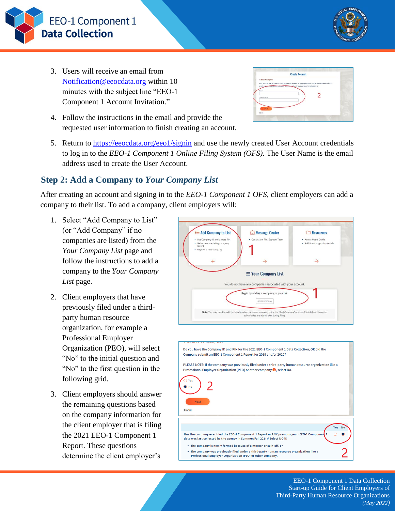

- 3. Users will receive an email from [Notification@eeocdata.org](mailto:Notification@eeocdata.org) within 10 minutes with the subject line "EEO-1 Component 1 Account Invitation."
- 4. Follow the instructions in the email and provide the requested user information to finish creating an account.
- 5. Return to <https://eeocdata.org/eeo1/signin> and use the newly created User Account credentials to log in to the *EEO-1 Component 1 Online Filing System (OFS).* The User Name is the email address used to create the User Account.

### **Step 2: Add a Company to** *Your Company List*

After creating an account and signing in to the *EEO-1 Component 1 OFS*, client employers can add a company to their list. To add a company, client employers will:

- 1. Select "Add Company to List" (or "Add Company" if no companies are listed) from the *Your Company List* page and follow the instructions to add a company to the *Your Company List* page.
- 2. Client employers that have previously filed under a thirdparty human resource organization, for example a Professional Employer Organization (PEO), will select "No" to the initial question and "No" to the first question in the following grid.
- 3. Client employers should answer the remaining questions based on the company information for the client employer that is filing the 2021 EEO-1 Component 1 Report. These questions determine the client employer's



- the company is newly formed because of a merger or spin-off, or
- the company was previously filed under a third-party human resource organization like a Professional Employer Organization (PEO) or other company.

EEO-1 Component 1 Data Collection Start-up Guide for Client Employers of Third-Party Human Resource Organizations *(May 2022)*



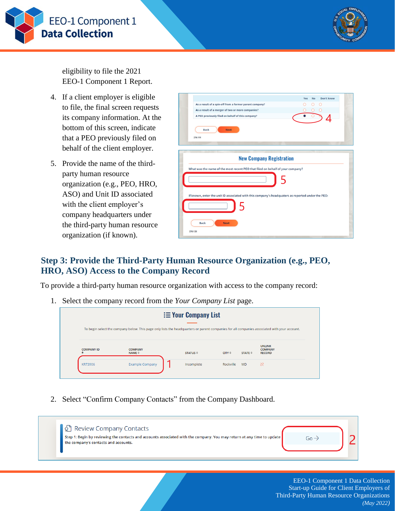



eligibility to file the 2021 EEO-1 Component 1 Report.

- 4. If a client employer is eligible to file, the final screen requests its company information. At the bottom of this screen, indicate that a PEO previously filed on behalf of the client employer.
- 5. Provide the name of the thirdparty human resource organization (e.g., PEO, HRO, ASO) and Unit ID associated with the client employer's company headquarters under the third-party human resource organization (if known).

|                                                                                                   | Yes | <b>No</b> | Don't know       |  |
|---------------------------------------------------------------------------------------------------|-----|-----------|------------------|--|
| As a result of a spin-off from a former parent company?                                           |     | 0         | $\left( \right)$ |  |
| As a result of a merger of two or more companies?                                                 |     |           | O                |  |
| A PEO previously filed on behalf of this company?                                                 |     |           |                  |  |
| <b>Next</b><br><b>Back</b><br>276-119                                                             |     |           |                  |  |
| <b>New Company Registration</b>                                                                   |     |           |                  |  |
|                                                                                                   |     |           |                  |  |
| What was the name of the most recent PEO that filed on behalf of your company?                    |     |           |                  |  |
| If known, enter the unit ID associated with this company's headquaters as reported under the PEO: |     |           |                  |  |
|                                                                                                   |     |           |                  |  |
| <b>Back</b><br><b>Next</b><br>276-120                                                             |     |           |                  |  |

#### **Step 3: Provide the Third-Party Human Resource Organization (e.g., PEO, HRO, ASO) Access to the Company Record**

To provide a third-party human resource organization with access to the company record:

1. Select the company record from the *Your Company List* page.



2. Select "Confirm Company Contacts" from the Company Dashboard.

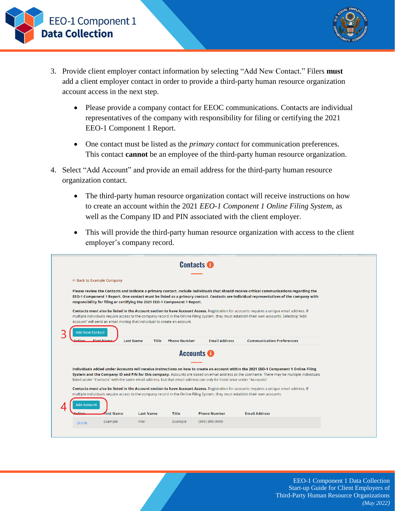EEO-1 Component 1 **Data Collection** 



- 3. Provide client employer contact information by selecting "Add New Contact." Filers **must** add a client employer contact in order to provide a third-party human resource organization account access in the next step.
	- Please provide a company contact for EEOC communications. Contacts are individual representatives of the company with responsibility for filing or certifying the 2021 EEO-1 Component 1 Report.
	- One contact must be listed as the *primary contact* for communication preferences. This contact **cannot** be an employee of the third-party human resource organization.
- 4. Select "Add Account" and provide an email address for the third-party human resource organization contact.
	- The third-party human resource organization contact will receive instructions on how to create an account within the 2021 *EEO-1 Component 1 Online Filing System*, as well as the Company ID and PIN associated with the client employer.
	- This will provide the third-party human resource organization with access to the client employer's company record.

|                                      |                                                                                                                                                                                                                                                                                                                                                                                                    |                                                                            |                     | <b>Contacts O</b>                                                                                                     |                                                                                                                                                                                                                                                                                      |  |  |  |  |  |
|--------------------------------------|----------------------------------------------------------------------------------------------------------------------------------------------------------------------------------------------------------------------------------------------------------------------------------------------------------------------------------------------------------------------------------------------------|----------------------------------------------------------------------------|---------------------|-----------------------------------------------------------------------------------------------------------------------|--------------------------------------------------------------------------------------------------------------------------------------------------------------------------------------------------------------------------------------------------------------------------------------|--|--|--|--|--|
| $\leftarrow$ Back to Example Company |                                                                                                                                                                                                                                                                                                                                                                                                    |                                                                            |                     |                                                                                                                       |                                                                                                                                                                                                                                                                                      |  |  |  |  |  |
|                                      |                                                                                                                                                                                                                                                                                                                                                                                                    | responsibility for filing or certifying the 2021 EEO-1 Component 1 Report. |                     |                                                                                                                       | Please review the Contacts and indicate a primary contact. Include individuals that should receive critical communications regarding the<br>EEO-1 Component 1 Report. One contact must be listed as a primary contact. Contacts are individual representatives of the company with   |  |  |  |  |  |
|                                      | Contacts must also be listed in the Account section to have Account Access. Registration for accounts requires a unique email address. If<br>multiple individuals require access to the company record in the Online Filing System, they must establish their own accounts. Selecting "Add<br>Account" will send an email inviting that individual to create an account.<br><b>Add New Contact</b> |                                                                            |                     |                                                                                                                       |                                                                                                                                                                                                                                                                                      |  |  |  |  |  |
| ction                                | First Name                                                                                                                                                                                                                                                                                                                                                                                         | <b>Last Name</b><br>Title                                                  | <b>Phone Number</b> | <b>Email Address</b>                                                                                                  | <b>Communication Preferences</b>                                                                                                                                                                                                                                                     |  |  |  |  |  |
|                                      |                                                                                                                                                                                                                                                                                                                                                                                                    |                                                                            |                     | <b>Accounts O</b>                                                                                                     |                                                                                                                                                                                                                                                                                      |  |  |  |  |  |
|                                      |                                                                                                                                                                                                                                                                                                                                                                                                    |                                                                            |                     | listed under "Contacts" with the same email address, but that email address can only be listed once under "Accounts". | Individuals added under Accounts will receive instructions on how to create an account within the 2021 EEO-1 Component 1 Online Filing<br>System and the Company ID and PIN for this company. Accounts are based on email address as the username. There may be multiple individuals |  |  |  |  |  |
| <b>Add Account</b>                   |                                                                                                                                                                                                                                                                                                                                                                                                    |                                                                            |                     |                                                                                                                       | Contacts must also be listed in the Account section to have Account Access. Registration for accounts requires a unique email address. If<br>multiple individuals require access to the company record in the Online Filing System, they must establish their own accounts.          |  |  |  |  |  |
|                                      | <b>first Name</b>                                                                                                                                                                                                                                                                                                                                                                                  | <b>Last Name</b>                                                           | <b>Title</b>        | <b>Phone Number</b>                                                                                                   | <b>Email Address</b>                                                                                                                                                                                                                                                                 |  |  |  |  |  |
|                                      |                                                                                                                                                                                                                                                                                                                                                                                                    |                                                                            |                     |                                                                                                                       |                                                                                                                                                                                                                                                                                      |  |  |  |  |  |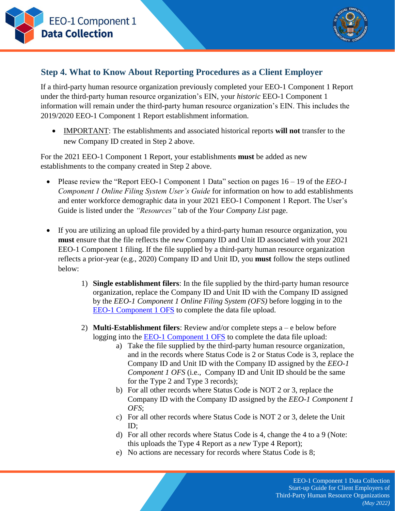



# **Step 4. What to Know About Reporting Procedures as a Client Employer**

If a third-party human resource organization previously completed your EEO-1 Component 1 Report under the third-party human resource organization's EIN, your *historic* EEO-1 Component 1 information will remain under the third-party human resource organization's EIN. This includes the 2019/2020 EEO-1 Component 1 Report establishment information.

 IMPORTANT: The establishments and associated historical reports **will not** transfer to the new Company ID created in Step 2 above.

For the 2021 EEO-1 Component 1 Report, your establishments **must** be added as new establishments to the company created in Step 2 above.

- Please review the "Report EEO-1 Component 1 Data" section on pages 16 19 of the *EEO-1 Component 1 Online Filing System User's Guide* for information on how to add establishments and enter workforce demographic data in your 2021 EEO-1 Component 1 Report. The User's Guide is listed under the *"Resources"* tab of the *Your Company List* page.
- If you are utilizing an upload file provided by a third-party human resource organization, you **must** ensure that the file reflects the *new* Company ID and Unit ID associated with your 2021 EEO-1 Component 1 filing. If the file supplied by a third-party human resource organization reflects a prior-year (e.g., 2020) Company ID and Unit ID, you **must** follow the steps outlined below:
	- 1) **Single establishment filers**: In the file supplied by the third-party human resource organization, replace the Company ID and Unit ID with the Company ID assigned by the *EEO-1 Component 1 Online Filing System (OFS)* before logging in to the [EEO-1 Component 1 OFS](https://gcc02.safelinks.protection.outlook.com/?url=https%3A%2F%2Furldefense.com%2Fv3%2F__https%3A%2Feeocdata.org%2Feeo1%2Fsignin__%3B!!L8-7AA!QRyK0emY7w02s48v9XUqu24kOPo_p4k7u5buUOP69wy7S9AZvm4ByxiCUe1EFgdzp09lZ5Ov1D2jjA%24&data=05%7C01%7C%7Ce5ee1fd7a97641dba6c208da38f29a05%7C3ba5b9434e564a2f9b91b1f1c37d645b%7C0%7C0%7C637884911866987328%7CUnknown%7CTWFpbGZsb3d8eyJWIjoiMC4wLjAwMDAiLCJQIjoiV2luMzIiLCJBTiI6Ik1haWwiLCJXVCI6Mn0%3D%7C3000%7C%7C%7C&sdata=hiYfdCencH3fDuyfCZC7RGKJFEP6uDlwGyiHRM6JTQs%3D&reserved=0) to complete the data file upload.
	- 2) **Multi-Establishment filers**: Review and/or complete steps a e below before logging into the [EEO-1 Component 1 OFS](https://gcc02.safelinks.protection.outlook.com/?url=https%3A%2F%2Furldefense.com%2Fv3%2F__https%3A%2Feeocdata.org%2Feeo1%2Fsignin__%3B!!L8-7AA!QRyK0emY7w02s48v9XUqu24kOPo_p4k7u5buUOP69wy7S9AZvm4ByxiCUe1EFgdzp09lZ5Ov1D2jjA%24&data=05%7C01%7C%7Ce5ee1fd7a97641dba6c208da38f29a05%7C3ba5b9434e564a2f9b91b1f1c37d645b%7C0%7C0%7C637884911866987328%7CUnknown%7CTWFpbGZsb3d8eyJWIjoiMC4wLjAwMDAiLCJQIjoiV2luMzIiLCJBTiI6Ik1haWwiLCJXVCI6Mn0%3D%7C3000%7C%7C%7C&sdata=hiYfdCencH3fDuyfCZC7RGKJFEP6uDlwGyiHRM6JTQs%3D&reserved=0) to complete the data file upload:
		- a) Take the file supplied by the third-party human resource organization, and in the records where Status Code is 2 or Status Code is 3, replace the Company ID and Unit ID with the Company ID assigned by the *EEO-1 Component 1 OFS* (i.e., Company ID and Unit ID should be the same for the Type 2 and Type 3 records);
		- b) For all other records where Status Code is NOT 2 or 3, replace the Company ID with the Company ID assigned by the *EEO-1 Component 1 OFS*;
		- c) For all other records where Status Code is NOT 2 or 3, delete the Unit ID;
		- d) For all other records where Status Code is 4, change the 4 to a 9 (Note: this uploads the Type 4 Report as a *new* Type 4 Report);
		- e) No actions are necessary for records where Status Code is 8;